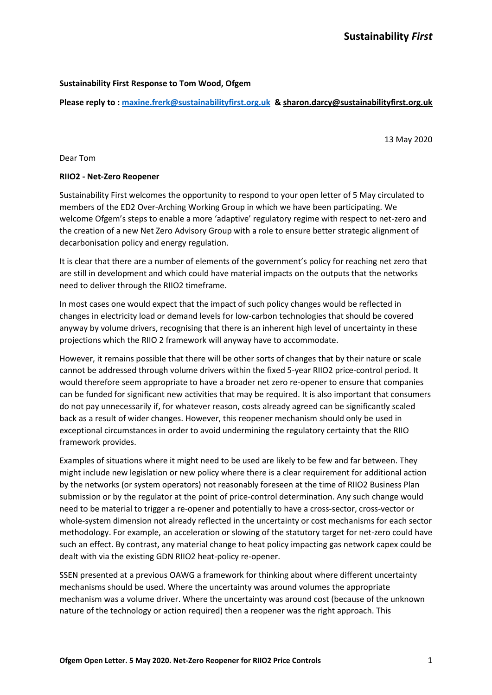### **Sustainability First Response to Tom Wood, Ofgem**

**Please reply to [: maxine.frerk@sustainabilityfirst.org.uk](mailto:maxine.frerk@sustainabilityfirst.org.uk) [& sharon.darcy@sustainabilityfirst.org.uk](mailto:sharon.darcy@sustainabilityfirst.org.uk)**

13 May 2020

Dear Tom

#### **RIIO2 - Net-Zero Reopener**

Sustainability First welcomes the opportunity to respond to your open letter of 5 May circulated to members of the ED2 Over-Arching Working Group in which we have been participating. We welcome Ofgem's steps to enable a more 'adaptive' regulatory regime with respect to net-zero and the creation of a new Net Zero Advisory Group with a role to ensure better strategic alignment of decarbonisation policy and energy regulation.

It is clear that there are a number of elements of the government's policy for reaching net zero that are still in development and which could have material impacts on the outputs that the networks need to deliver through the RIIO2 timeframe.

In most cases one would expect that the impact of such policy changes would be reflected in changes in electricity load or demand levels for low-carbon technologies that should be covered anyway by volume drivers, recognising that there is an inherent high level of uncertainty in these projections which the RIIO 2 framework will anyway have to accommodate.

However, it remains possible that there will be other sorts of changes that by their nature or scale cannot be addressed through volume drivers within the fixed 5-year RIIO2 price-control period. It would therefore seem appropriate to have a broader net zero re-opener to ensure that companies can be funded for significant new activities that may be required. It is also important that consumers do not pay unnecessarily if, for whatever reason, costs already agreed can be significantly scaled back as a result of wider changes. However, this reopener mechanism should only be used in exceptional circumstances in order to avoid undermining the regulatory certainty that the RIIO framework provides.

Examples of situations where it might need to be used are likely to be few and far between. They might include new legislation or new policy where there is a clear requirement for additional action by the networks (or system operators) not reasonably foreseen at the time of RIIO2 Business Plan submission or by the regulator at the point of price-control determination. Any such change would need to be material to trigger a re-opener and potentially to have a cross-sector, cross-vector or whole-system dimension not already reflected in the uncertainty or cost mechanisms for each sector methodology. For example, an acceleration or slowing of the statutory target for net-zero could have such an effect. By contrast, any material change to heat policy impacting gas network capex could be dealt with via the existing GDN RIIO2 heat-policy re-opener.

SSEN presented at a previous OAWG a framework for thinking about where different uncertainty mechanisms should be used. Where the uncertainty was around volumes the appropriate mechanism was a volume driver. Where the uncertainty was around cost (because of the unknown nature of the technology or action required) then a reopener was the right approach. This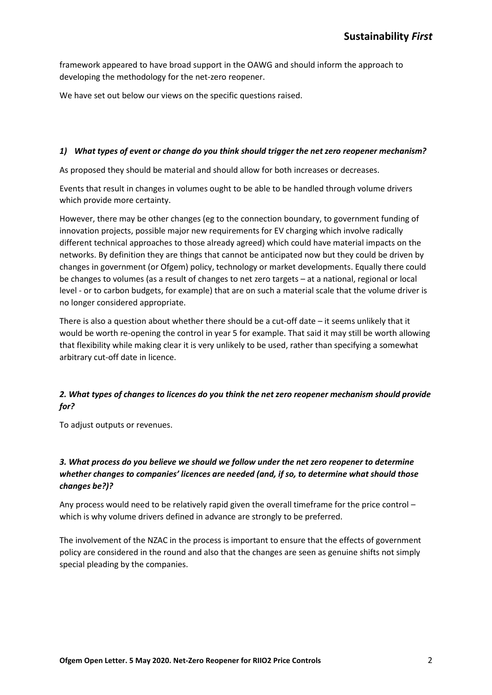framework appeared to have broad support in the OAWG and should inform the approach to developing the methodology for the net-zero reopener.

We have set out below our views on the specific questions raised.

### *1) What types of event or change do you think should trigger the net zero reopener mechanism?*

As proposed they should be material and should allow for both increases or decreases.

Events that result in changes in volumes ought to be able to be handled through volume drivers which provide more certainty.

However, there may be other changes (eg to the connection boundary, to government funding of innovation projects, possible major new requirements for EV charging which involve radically different technical approaches to those already agreed) which could have material impacts on the networks. By definition they are things that cannot be anticipated now but they could be driven by changes in government (or Ofgem) policy, technology or market developments. Equally there could be changes to volumes (as a result of changes to net zero targets – at a national, regional or local level - or to carbon budgets, for example) that are on such a material scale that the volume driver is no longer considered appropriate.

There is also a question about whether there should be a cut-off date – it seems unlikely that it would be worth re-opening the control in year 5 for example. That said it may still be worth allowing that flexibility while making clear it is very unlikely to be used, rather than specifying a somewhat arbitrary cut-off date in licence.

## *2. What types of changes to licences do you think the net zero reopener mechanism should provide for?*

To adjust outputs or revenues.

# *3. What process do you believe we should we follow under the net zero reopener to determine whether changes to companies' licences are needed (and, if so, to determine what should those changes be?)?*

Any process would need to be relatively rapid given the overall timeframe for the price control – which is why volume drivers defined in advance are strongly to be preferred.

The involvement of the NZAC in the process is important to ensure that the effects of government policy are considered in the round and also that the changes are seen as genuine shifts not simply special pleading by the companies.